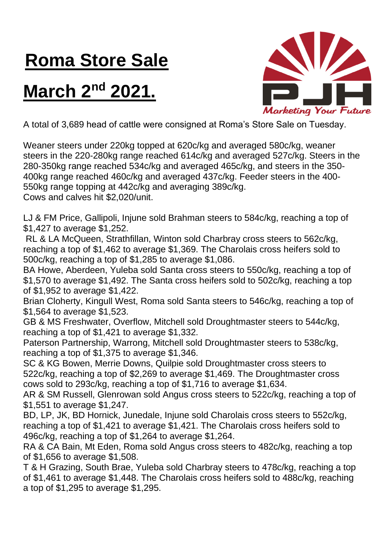## **Roma Store Sale**

## **March 2<sup>nd</sup> 2021.**



A total of 3,689 head of cattle were consigned at Roma's Store Sale on Tuesday.

Weaner steers under 220kg topped at 620c/kg and averaged 580c/kg, weaner steers in the 220-280kg range reached 614c/kg and averaged 527c/kg. Steers in the 280-350kg range reached 534c/kg and averaged 465c/kg, and steers in the 350- 400kg range reached 460c/kg and averaged 437c/kg. Feeder steers in the 400- 550kg range topping at 442c/kg and averaging 389c/kg. Cows and calves hit \$2,020/unit.

LJ & FM Price, Gallipoli, Injune sold Brahman steers to 584c/kg, reaching a top of \$1,427 to average \$1,252.

RL & LA McQueen, Strathfillan, Winton sold Charbray cross steers to 562c/kg, reaching a top of \$1,462 to average \$1,369. The Charolais cross heifers sold to 500c/kg, reaching a top of \$1,285 to average \$1,086.

BA Howe, Aberdeen, Yuleba sold Santa cross steers to 550c/kg, reaching a top of \$1,570 to average \$1,492. The Santa cross heifers sold to 502c/kg, reaching a top of \$1,952 to average \$1,422.

Brian Cloherty, Kingull West, Roma sold Santa steers to 546c/kg, reaching a top of \$1,564 to average \$1,523.

GB & MS Freshwater, Overflow, Mitchell sold Droughtmaster steers to 544c/kg, reaching a top of \$1,421 to average \$1,332.

Paterson Partnership, Warrong, Mitchell sold Droughtmaster steers to 538c/kg, reaching a top of \$1,375 to average \$1,346.

SC & KG Bowen, Merrie Downs, Quilpie sold Droughtmaster cross steers to 522c/kg, reaching a top of \$2,269 to average \$1,469. The Droughtmaster cross cows sold to 293c/kg, reaching a top of \$1,716 to average \$1,634.

AR & SM Russell, Glenrowan sold Angus cross steers to 522c/kg, reaching a top of \$1,551 to average \$1,247.

BD, LP, JK, BD Hornick, Junedale, Injune sold Charolais cross steers to 552c/kg, reaching a top of \$1,421 to average \$1,421. The Charolais cross heifers sold to 496c/kg, reaching a top of \$1,264 to average \$1,264.

RA & CA Bain, Mt Eden, Roma sold Angus cross steers to 482c/kg, reaching a top of \$1,656 to average \$1,508.

T & H Grazing, South Brae, Yuleba sold Charbray steers to 478c/kg, reaching a top of \$1,461 to average \$1,448. The Charolais cross heifers sold to 488c/kg, reaching a top of \$1,295 to average \$1,295.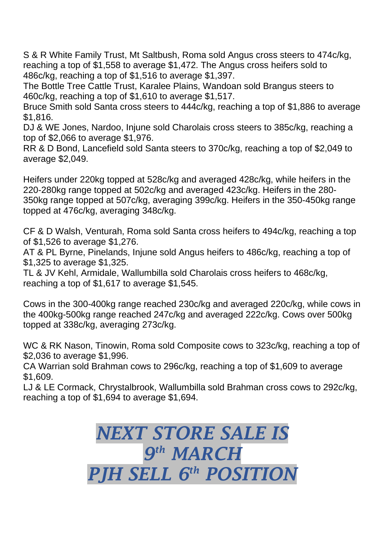S & R White Family Trust, Mt Saltbush, Roma sold Angus cross steers to 474c/kg, reaching a top of \$1,558 to average \$1,472. The Angus cross heifers sold to 486c/kg, reaching a top of \$1,516 to average \$1,397.

The Bottle Tree Cattle Trust, Karalee Plains, Wandoan sold Brangus steers to 460c/kg, reaching a top of \$1,610 to average \$1,517.

Bruce Smith sold Santa cross steers to 444c/kg, reaching a top of \$1,886 to average \$1,816.

DJ & WE Jones, Nardoo, Injune sold Charolais cross steers to 385c/kg, reaching a top of \$2,066 to average \$1,976.

RR & D Bond, Lancefield sold Santa steers to 370c/kg, reaching a top of \$2,049 to average \$2,049.

Heifers under 220kg topped at 528c/kg and averaged 428c/kg, while heifers in the 220-280kg range topped at 502c/kg and averaged 423c/kg. Heifers in the 280- 350kg range topped at 507c/kg, averaging 399c/kg. Heifers in the 350-450kg range topped at 476c/kg, averaging 348c/kg.

CF & D Walsh, Venturah, Roma sold Santa cross heifers to 494c/kg, reaching a top of \$1,526 to average \$1,276.

AT & PL Byrne, Pinelands, Injune sold Angus heifers to 486c/kg, reaching a top of \$1,325 to average \$1,325.

TL & JV Kehl, Armidale, Wallumbilla sold Charolais cross heifers to 468c/kg, reaching a top of \$1,617 to average \$1,545.

Cows in the 300-400kg range reached 230c/kg and averaged 220c/kg, while cows in the 400kg-500kg range reached 247c/kg and averaged 222c/kg. Cows over 500kg topped at 338c/kg, averaging 273c/kg.

WC & RK Nason, Tinowin, Roma sold Composite cows to 323c/kg, reaching a top of \$2,036 to average \$1,996.

CA Warrian sold Brahman cows to 296c/kg, reaching a top of \$1,609 to average \$1,609.

LJ & LE Cormack, Chrystalbrook, Wallumbilla sold Brahman cross cows to 292c/kg, reaching a top of \$1,694 to average \$1,694.

> *NEXT STORE SALE IS 9 th MARCH PJH SELL 6 th POSITION*